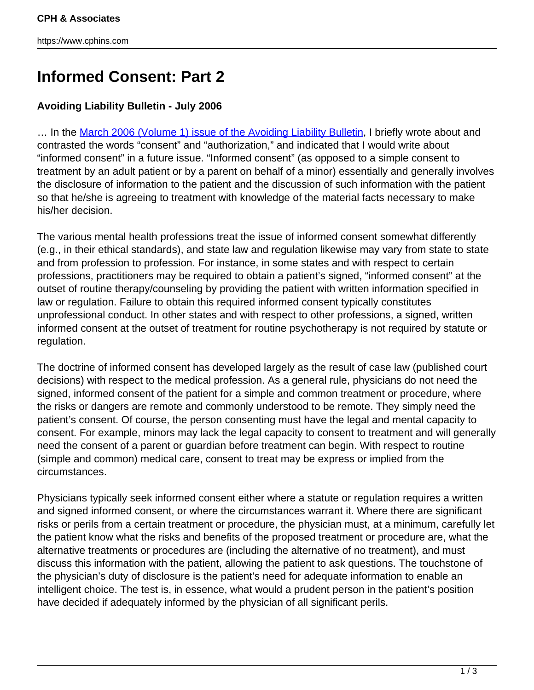## **Informed Consent: Part 2**

## **Avoiding Liability Bulletin - July 2006**

... In the [March 2006 \(Volume 1\) issue of the Avoiding Liability Bulletin,](http://www.cphins.com/informed-consent-2/) I briefly wrote about and contrasted the words "consent" and "authorization," and indicated that I would write about "informed consent" in a future issue. "Informed consent" (as opposed to a simple consent to treatment by an adult patient or by a parent on behalf of a minor) essentially and generally involves the disclosure of information to the patient and the discussion of such information with the patient so that he/she is agreeing to treatment with knowledge of the material facts necessary to make his/her decision.

The various mental health professions treat the issue of informed consent somewhat differently (e.g., in their ethical standards), and state law and regulation likewise may vary from state to state and from profession to profession. For instance, in some states and with respect to certain professions, practitioners may be required to obtain a patient's signed, "informed consent" at the outset of routine therapy/counseling by providing the patient with written information specified in law or regulation. Failure to obtain this required informed consent typically constitutes unprofessional conduct. In other states and with respect to other professions, a signed, written informed consent at the outset of treatment for routine psychotherapy is not required by statute or regulation.

The doctrine of informed consent has developed largely as the result of case law (published court decisions) with respect to the medical profession. As a general rule, physicians do not need the signed, informed consent of the patient for a simple and common treatment or procedure, where the risks or dangers are remote and commonly understood to be remote. They simply need the patient's consent. Of course, the person consenting must have the legal and mental capacity to consent. For example, minors may lack the legal capacity to consent to treatment and will generally need the consent of a parent or guardian before treatment can begin. With respect to routine (simple and common) medical care, consent to treat may be express or implied from the circumstances.

Physicians typically seek informed consent either where a statute or regulation requires a written and signed informed consent, or where the circumstances warrant it. Where there are significant risks or perils from a certain treatment or procedure, the physician must, at a minimum, carefully let the patient know what the risks and benefits of the proposed treatment or procedure are, what the alternative treatments or procedures are (including the alternative of no treatment), and must discuss this information with the patient, allowing the patient to ask questions. The touchstone of the physician's duty of disclosure is the patient's need for adequate information to enable an intelligent choice. The test is, in essence, what would a prudent person in the patient's position have decided if adequately informed by the physician of all significant perils.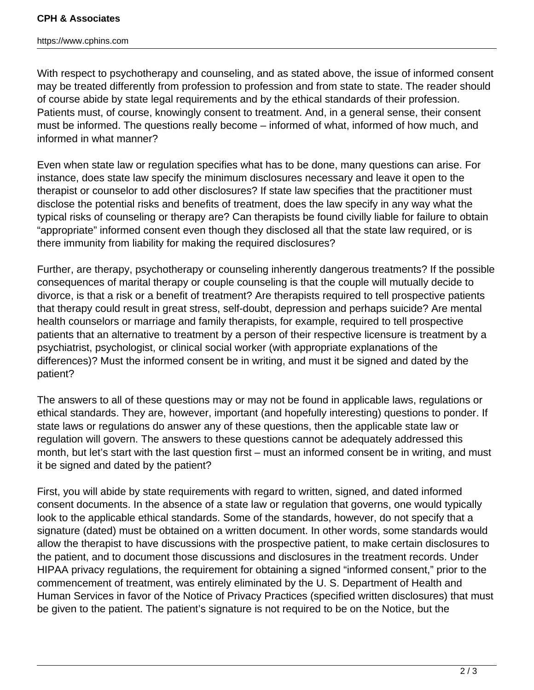## **CPH & Associates**

https://www.cphins.com

With respect to psychotherapy and counseling, and as stated above, the issue of informed consent may be treated differently from profession to profession and from state to state. The reader should of course abide by state legal requirements and by the ethical standards of their profession. Patients must, of course, knowingly consent to treatment. And, in a general sense, their consent must be informed. The questions really become – informed of what, informed of how much, and informed in what manner?

Even when state law or regulation specifies what has to be done, many questions can arise. For instance, does state law specify the minimum disclosures necessary and leave it open to the therapist or counselor to add other disclosures? If state law specifies that the practitioner must disclose the potential risks and benefits of treatment, does the law specify in any way what the typical risks of counseling or therapy are? Can therapists be found civilly liable for failure to obtain "appropriate" informed consent even though they disclosed all that the state law required, or is there immunity from liability for making the required disclosures?

Further, are therapy, psychotherapy or counseling inherently dangerous treatments? If the possible consequences of marital therapy or couple counseling is that the couple will mutually decide to divorce, is that a risk or a benefit of treatment? Are therapists required to tell prospective patients that therapy could result in great stress, self-doubt, depression and perhaps suicide? Are mental health counselors or marriage and family therapists, for example, required to tell prospective patients that an alternative to treatment by a person of their respective licensure is treatment by a psychiatrist, psychologist, or clinical social worker (with appropriate explanations of the differences)? Must the informed consent be in writing, and must it be signed and dated by the patient?

The answers to all of these questions may or may not be found in applicable laws, regulations or ethical standards. They are, however, important (and hopefully interesting) questions to ponder. If state laws or regulations do answer any of these questions, then the applicable state law or regulation will govern. The answers to these questions cannot be adequately addressed this month, but let's start with the last question first – must an informed consent be in writing, and must it be signed and dated by the patient?

First, you will abide by state requirements with regard to written, signed, and dated informed consent documents. In the absence of a state law or regulation that governs, one would typically look to the applicable ethical standards. Some of the standards, however, do not specify that a signature (dated) must be obtained on a written document. In other words, some standards would allow the therapist to have discussions with the prospective patient, to make certain disclosures to the patient, and to document those discussions and disclosures in the treatment records. Under HIPAA privacy regulations, the requirement for obtaining a signed "informed consent," prior to the commencement of treatment, was entirely eliminated by the U. S. Department of Health and Human Services in favor of the Notice of Privacy Practices (specified written disclosures) that must be given to the patient. The patient's signature is not required to be on the Notice, but the